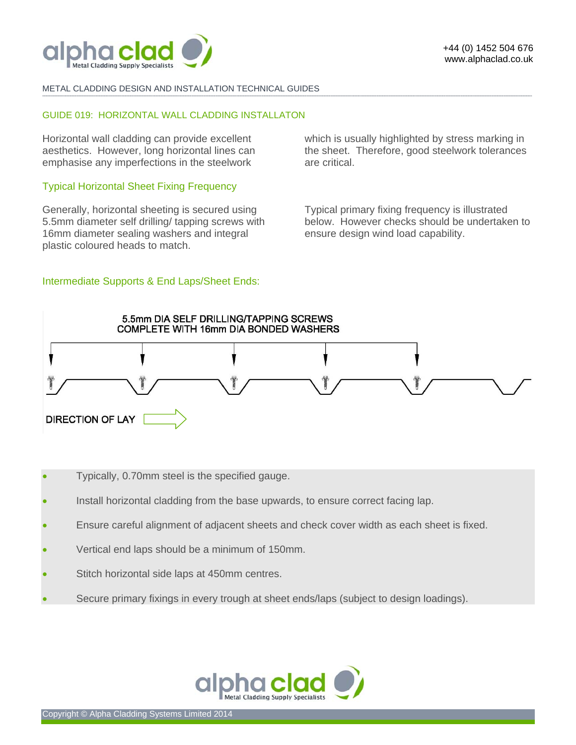

### METAL CLADDING DESIGN AND INSTALLATION TECHNICAL GUIDES

### GUIDE 019: HORIZONTAL WALL CLADDING INSTALLATON

Horizontal wall cladding can provide excellent aesthetics. However, long horizontal lines can emphasise any imperfections in the steelwork

## Typical Horizontal Sheet Fixing Frequency

Generally, horizontal sheeting is secured using 5.5mm diameter self drilling/ tapping screws with 16mm diameter sealing washers and integral plastic coloured heads to match.

## Intermediate Supports & End Laps/Sheet Ends:

which is usually highlighted by stress marking in the sheet. Therefore, good steelwork tolerances are critical.

Typical primary fixing frequency is illustrated below. However checks should be undertaken to ensure design wind load capability.



**-------------------------------------------------------------------------------------------------------------------------------------------------------------------------------------------------------------------------------------------------------------------------------------------------------------------------------------------------------------------------------------------------------** 

- Typically, 0.70mm steel is the specified gauge.
- Install horizontal cladding from the base upwards, to ensure correct facing lap.
- Ensure careful alignment of adjacent sheets and check cover width as each sheet is fixed.
- Vertical end laps should be a minimum of 150mm.
- Stitch horizontal side laps at 450mm centres.
- Secure primary fixings in every trough at sheet ends/laps (subject to design loadings).